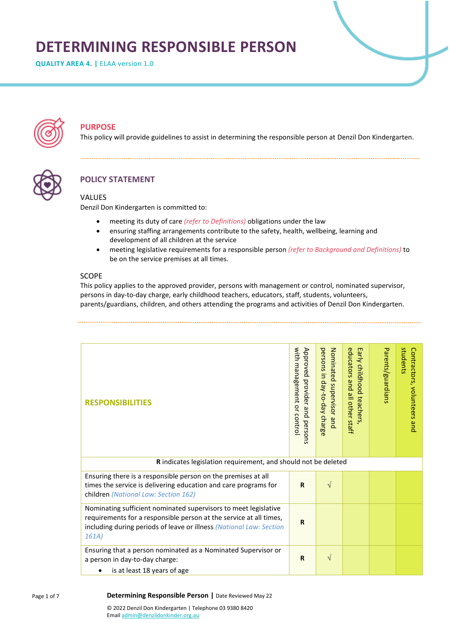# **DETERMINING RESPONSIBLE PERSON**

**QUALITY AREA 4. |** ELAA version 1.0



# **PURPOSE**

This policy will provide guidelines to assist in determining the responsible person at Denzil Don Kindergarten.



# **POLICY STATEMENT**

### VALUES

Denzil Don Kindergarten is committed to:

- meeting its duty of care *(refer to Definitions)* obligations under the law
- ensuring staffing arrangements contribute to the safety, health, wellbeing, learning and development of all children at the service
- meeting legislative requirements for a responsible person *(refer to Background and Definitions)* to be on the service premises at all times.

# SCOPE

This policy applies to the approved provider, persons with management or control, nominated supervisor, persons in day-to-day charge, early childhood teachers, educators, staff, students, volunteers, parents/guardians, children, and others attending the programs and activities of Denzil Don Kindergarten.

| <b>RESPONSIBILITIES</b>                                                                                                                                                                                               | with management or control<br>Approved provider and persons | persons in day-to-day charge<br>Nominated supervisor and | educators and all other staff<br>Early childhood teachers | Parents/guardians | students<br>Contractors, volunteers<br>qnd |  |
|-----------------------------------------------------------------------------------------------------------------------------------------------------------------------------------------------------------------------|-------------------------------------------------------------|----------------------------------------------------------|-----------------------------------------------------------|-------------------|--------------------------------------------|--|
| R indicates legislation requirement, and should not be deleted                                                                                                                                                        |                                                             |                                                          |                                                           |                   |                                            |  |
| Ensuring there is a responsible person on the premises at all<br>times the service is delivering education and care programs for<br>children (National Law: Section 162)                                              | $\mathbf R$                                                 | $\sqrt{}$                                                |                                                           |                   |                                            |  |
| Nominating sufficient nominated supervisors to meet legislative<br>requirements for a responsible person at the service at all times,<br>including during periods of leave or illness (National Law: Section<br>161A) | $\mathbf R$                                                 |                                                          |                                                           |                   |                                            |  |
| Ensuring that a person nominated as a Nominated Supervisor or<br>a person in day-to-day charge:                                                                                                                       | R                                                           | $\sqrt{}$                                                |                                                           |                   |                                            |  |
| is at least 18 years of age<br>$\bullet$                                                                                                                                                                              |                                                             |                                                          |                                                           |                   |                                            |  |

#### **Determining Responsible Person |** Date Reviewed May 22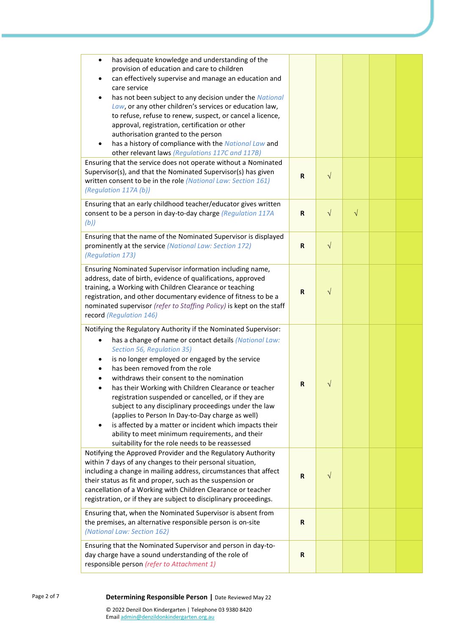| has adequate knowledge and understanding of the<br>$\bullet$<br>provision of education and care to children<br>can effectively supervise and manage an education and<br>care service<br>has not been subject to any decision under the National<br>Law, or any other children's services or education law,<br>to refuse, refuse to renew, suspect, or cancel a licence,<br>approval, registration, certification or other<br>authorisation granted to the person<br>has a history of compliance with the National Law and<br>$\bullet$<br>other relevant laws (Regulations 117C and 117B)                                                                                                           |             |            |           |  |
|-----------------------------------------------------------------------------------------------------------------------------------------------------------------------------------------------------------------------------------------------------------------------------------------------------------------------------------------------------------------------------------------------------------------------------------------------------------------------------------------------------------------------------------------------------------------------------------------------------------------------------------------------------------------------------------------------------|-------------|------------|-----------|--|
| Ensuring that the service does not operate without a Nominated<br>Supervisor(s), and that the Nominated Supervisor(s) has given<br>written consent to be in the role (National Law: Section 161)<br>(Regulation 117A (b))                                                                                                                                                                                                                                                                                                                                                                                                                                                                           | $\mathbf R$ | $\sqrt{}$  |           |  |
| Ensuring that an early childhood teacher/educator gives written<br>consent to be a person in day-to-day charge (Regulation 117A<br>(b))                                                                                                                                                                                                                                                                                                                                                                                                                                                                                                                                                             | $\mathbf R$ | $\sqrt{ }$ | $\sqrt{}$ |  |
| Ensuring that the name of the Nominated Supervisor is displayed<br>prominently at the service (National Law: Section 172)<br>(Regulation 173)                                                                                                                                                                                                                                                                                                                                                                                                                                                                                                                                                       | R           | $\sqrt{ }$ |           |  |
| Ensuring Nominated Supervisor information including name,<br>address, date of birth, evidence of qualifications, approved<br>training, a Working with Children Clearance or teaching<br>registration, and other documentary evidence of fitness to be a<br>nominated supervisor (refer to Staffing Policy) is kept on the staff<br>record (Regulation 146)                                                                                                                                                                                                                                                                                                                                          | R           | $\sqrt{}$  |           |  |
| Notifying the Regulatory Authority if the Nominated Supervisor:<br>has a change of name or contact details (National Law:<br>Section 56, Regulation 35)<br>is no longer employed or engaged by the service<br>has been removed from the role<br>withdraws their consent to the nomination<br>has their Working with Children Clearance or teacher<br>registration suspended or cancelled, or if they are<br>subject to any disciplinary proceedings under the law<br>(applies to Person In Day-to-Day charge as well)<br>is affected by a matter or incident which impacts their<br>$\bullet$<br>ability to meet minimum requirements, and their<br>suitability for the role needs to be reassessed | $\mathbf R$ | V          |           |  |
| Notifying the Approved Provider and the Regulatory Authority<br>within 7 days of any changes to their personal situation,<br>including a change in mailing address, circumstances that affect<br>their status as fit and proper, such as the suspension or<br>cancellation of a Working with Children Clearance or teacher<br>registration, or if they are subject to disciplinary proceedings.                                                                                                                                                                                                                                                                                                     | R           | $\sqrt{}$  |           |  |
| Ensuring that, when the Nominated Supervisor is absent from<br>the premises, an alternative responsible person is on-site<br>(National Law: Section 162)                                                                                                                                                                                                                                                                                                                                                                                                                                                                                                                                            | R           |            |           |  |
| Ensuring that the Nominated Supervisor and person in day-to-<br>day charge have a sound understanding of the role of<br>responsible person (refer to Attachment 1)                                                                                                                                                                                                                                                                                                                                                                                                                                                                                                                                  | $\mathbf R$ |            |           |  |

### Page 2 of 7 **Determining Responsible Person |** Date Reviewed May 22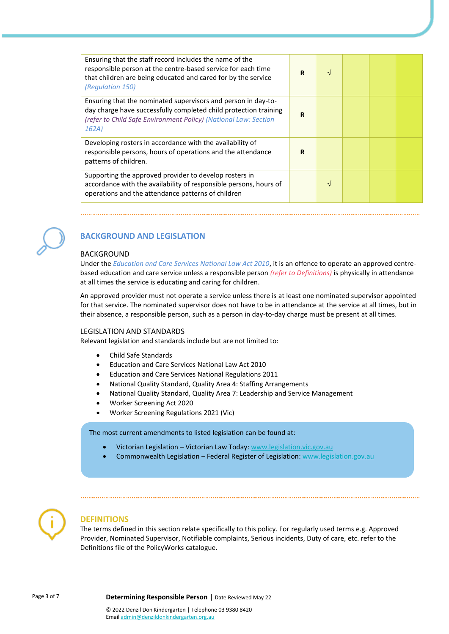| Ensuring that the staff record includes the name of the<br>responsible person at the centre-based service for each time<br>that children are being educated and cared for by the service<br>(Regulation 150)  | R           | $\sqrt{ }$ |  |  |
|---------------------------------------------------------------------------------------------------------------------------------------------------------------------------------------------------------------|-------------|------------|--|--|
| Ensuring that the nominated supervisors and person in day-to-<br>day charge have successfully completed child protection training<br>(refer to Child Safe Environment Policy) (National Law: Section<br>162A) | R           |            |  |  |
| Developing rosters in accordance with the availability of<br>responsible persons, hours of operations and the attendance<br>patterns of children.                                                             | $\mathbf R$ |            |  |  |
| Supporting the approved provider to develop rosters in<br>accordance with the availability of responsible persons, hours of<br>operations and the attendance patterns of children                             |             | V          |  |  |



# **BACKGROUND AND LEGISLATION**

#### BACKGROUND

Under the *Education and Care Services National Law Act 2010*, it is an offence to operate an approved centrebased education and care service unless a responsible person *(refer to Definitions)* is physically in attendance at all times the service is educating and caring for children.

An approved provider must not operate a service unless there is at least one nominated supervisor appointed for that service. The nominated supervisor does not have to be in attendance at the service at all times, but in their absence, a responsible person, such as a person in day-to-day charge must be present at all times.

#### LEGISLATION AND STANDARDS

Relevant legislation and standards include but are not limited to:

- Child Safe Standards
- Education and Care Services National Law Act 2010
- Education and Care Services National Regulations 2011
- National Quality Standard, Quality Area 4: Staffing Arrangements
- National Quality Standard, Quality Area 7: Leadership and Service Management
- Worker Screening Act 2020
- Worker Screening Regulations 2021 (Vic)

The most current amendments to listed legislation can be found at:

- Victorian Legislation Victorian Law Today: [www.legislation.vic.gov.au](http://www.legislation.vic.gov.au/)
- Commonwealth Legislation Federal Register of Legislation: [www.legislation.gov.au](http://www.legislation.gov.au/)



### **DEFINITIONS**

The terms defined in this section relate specifically to this policy. For regularly used terms e.g. Approved Provider, Nominated Supervisor, Notifiable complaints, Serious incidents, Duty of care, etc. refer to the Definitions file of the PolicyWorks catalogue.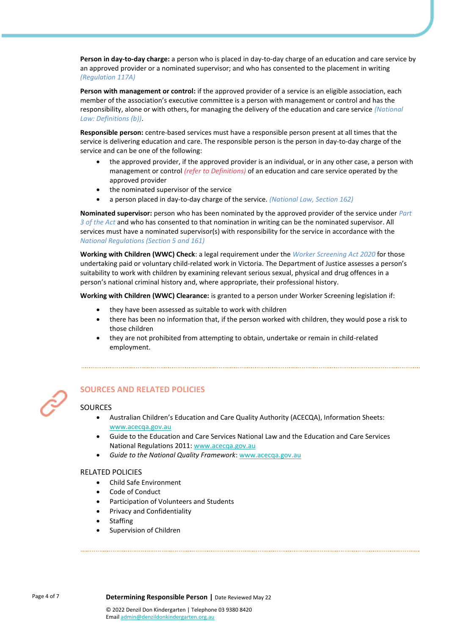**Person in day-to-day charge:** a person who is placed in day-to-day charge of an education and care service by an approved provider or a nominated supervisor; and who has consented to the placement in writing *(Regulation 117A)*

**Person with management or control:** if the approved provider of a service is an eligible association, each member of the association's executive committee is a person with management or control and has the responsibility, alone or with others, for managing the delivery of the education and care service *(National Law: Definitions (b))*.

**Responsible person:** centre-based services must have a responsible person present at all times that the service is delivering education and care. The responsible person is the person in day-to-day charge of the service and can be one of the following:

- the approved provider, if the approved provider is an individual, or in any other case, a person with management or control *(refer to Definitions)* of an education and care service operated by the approved provider
- the nominated supervisor of the service
- a person placed in day-to-day charge of the service. *(National Law, Section 162)*

**Nominated supervisor:** person who has been nominated by the approved provider of the service under *Part 3 of the Act* and who has consented to that nomination in writing can be the nominated supervisor. All services must have a nominated supervisor(s) with responsibility for the service in accordance with the *National Regulations (Section 5 and 161)*

**Working with Children (WWC) Check**: a legal requirement under the *Worker Screening Act 2020* for those undertaking paid or voluntary child-related work in Victoria. The Department of Justice assesses a person's suitability to work with children by examining relevant serious sexual, physical and drug offences in a person's national criminal history and, where appropriate, their professional history.

**Working with Children (WWC) Clearance:** is granted to a person under Worker Screening legislation if:

- they have been assessed as suitable to work with children
- there has been no information that, if the person worked with children, they would pose a risk to those children
- they are not prohibited from attempting to obtain, undertake or remain in child-related employment.



# **SOURCES AND RELATED POLICIES**

### SOURCES

• Australian Children's Education and Care Quality Authority (ACECQA), Information Sheets: [www.acecqa.gov.au](http://www.acecqa.gov.au/)

- Guide to the Education and Care Services National Law and the Education and Care Services National Regulations 2011: [www.acecqa.gov.au](http://www.acecqa.gov.au/)
- *Guide to the National Quality Framework*[: www.acecqa.gov.au](http://www.acecqa.gov.au/)

### RELATED POLICIES

- Child Safe Environment
- Code of Conduct
- Participation of Volunteers and Students
- Privacy and Confidentiality
- **Staffing**
- Supervision of Children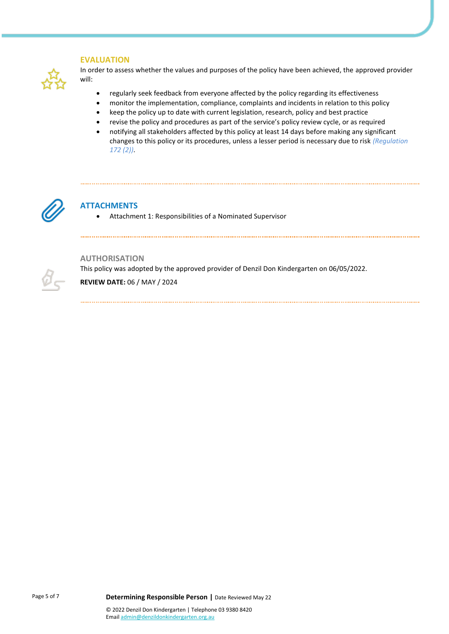### **EVALUATION**



In order to assess whether the values and purposes of the policy have been achieved, the approved provider will:

- regularly seek feedback from everyone affected by the policy regarding its effectiveness
- monitor the implementation, compliance, complaints and incidents in relation to this policy
- keep the policy up to date with current legislation, research, policy and best practice
- revise the policy and procedures as part of the service's policy review cycle, or as required
- notifying all stakeholders affected by this policy at least 14 days before making any significant changes to this policy or its procedures, unless a lesser period is necessary due to risk *(Regulation 172 (2))*.



# **ATTACHMENTS**

• Attachment 1: Responsibilities of a Nominated Supervisor



### **AUTHORISATION**

This policy was adopted by the approved provider of Denzil Don Kindergarten on 06/05/2022.

**REVIEW DATE:** 06 / MAY / 2024

Page 5 of 7 **Determining Responsible Person |** Date Reviewed May 22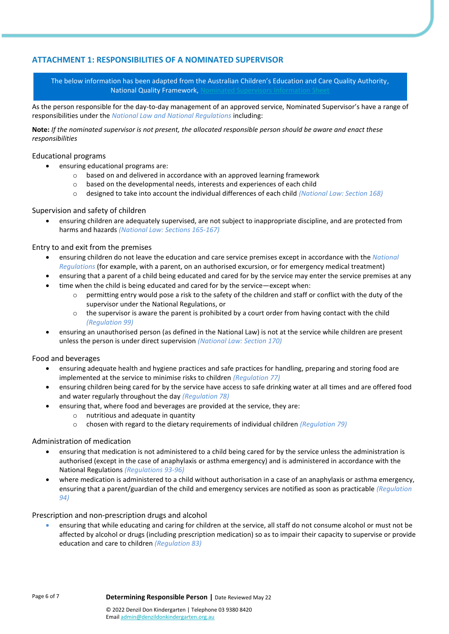# **ATTACHMENT 1: RESPONSIBILITIES OF A NOMINATED SUPERVISOR**

The below information has been adapted from the Australian Children's Education and Care Quality Authority, National Quality Framework.

As the person responsible for the day-to-day management of an approved service, Nominated Supervisor's have a range of responsibilities under the *National Law and National Regulations* including:

**Note:** *If the nominated supervisor is not present, the allocated responsible person should be aware and enact these responsibilities*

#### Educational programs

- ensuring educational programs are:
	- o based on and delivered in accordance with an approved learning framework
	- o based on the developmental needs, interests and experiences of each child
	- o designed to take into account the individual differences of each child *(National Law: Section 168)*

#### Supervision and safety of children

• ensuring children are adequately supervised, are not subject to inappropriate discipline, and are protected from harms and hazards *(National Law: Sections 165-167)*

### Entry to and exit from the premises

- ensuring children do not leave the education and care service premises except in accordance with the *National Regulations* (for example, with a parent, on an authorised excursion, or for emergency medical treatment)
- ensuring that a parent of a child being educated and cared for by the service may enter the service premises at any
- time when the child is being educated and cared for by the service—except when:
	- $\circ$  permitting entry would pose a risk to the safety of the children and staff or conflict with the duty of the supervisor under the National Regulations, or
	- $\circ$  the supervisor is aware the parent is prohibited by a court order from having contact with the child *(Regulation 99)*
- ensuring an unauthorised person (as defined in the National Law) is not at the service while children are present unless the person is under direct supervision *(National Law: Section 170)*

### Food and beverages

- ensuring adequate health and hygiene practices and safe practices for handling, preparing and storing food are implemented at the service to minimise risks to children *(Regulation 77)*
- ensuring children being cared for by the service have access to safe drinking water at all times and are offered food and water regularly throughout the day *(Regulation 78)*
- ensuring that, where food and beverages are provided at the service, they are:
	- o nutritious and adequate in quantity
	- o chosen with regard to the dietary requirements of individual children *(Regulation 79)*

### Administration of medication

- ensuring that medication is not administered to a child being cared for by the service unless the administration is authorised (except in the case of anaphylaxis or asthma emergency) and is administered in accordance with the National Regulations *(Regulations 93-96)*
- where medication is administered to a child without authorisation in a case of an anaphylaxis or asthma emergency, ensuring that a parent/guardian of the child and emergency services are notified as soon as practicable *(Regulation 94)*

### Prescription and non-prescription drugs and alcohol

• ensuring that while educating and caring for children at the service, all staff do not consume alcohol or must not be affected by alcohol or drugs (including prescription medication) so as to impair their capacity to supervise or provide education and care to children *(Regulation 83)*